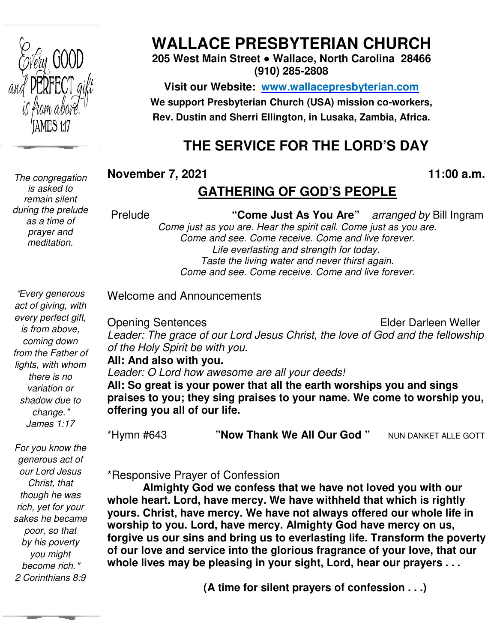

**WALLACE PRESBYTERIAN CHURCH**

**205 West Main Street ● Wallace, North Carolina 28466 (910) 285-2808** 

**Visit our Website: www.wallacepresbyterian.com** We support Presbyterian Church (USA) mission co-workers, **Rev. Dustin and Sherri Ellington, in Lusaka, Zambia, Africa. Sherri Ellington,** 

### **THE SERVICE FOR THE LORD'S DAY**

#### **November 7, 2021**

#### **, 11:00 a.m**

### **GATHERING OF GOD'S PEOPLE**

Prelude

*Come just as you are. Hear the spirit call. Come just as you are. Come and see. Come receive. Come and live forever.*<br>Life everlasting and strength for today. *Life everlasting and strength for today. Taste the living water and never thirst again. Come and see. Come receive. Come and live forever Come forever.*  **"Come Just As You Are"** *arranged by* Bill Ingra Ingram

Welcome and Announcements and Announcements

Opening Sentences Leader: The grace of our Lord Jesus Christ, the love of God and the fellowship *of the Holy Spirit be with you. Leader: The grace of our Lord Jesus Christ, the Icof the Holy Spirit be with you.<br>All: And also with you.<br>Leader: O Lord how awesome are all your deeds!* Elder Darleen Weller

**All: And also with you.**

**All: So great is your power that all the earth worships you and sings praises to you; they sing praises to your name. We come to worship you, offering you all of our life. is your power that all the earth worships you and sings<br>u; they sing praises to your name. We come to worship you,<br>all of our life.<br>"Now Thank We All Our God "NUN DANKET ALLE GOTT"** 

\*Hymn #643 **"Now Thank We All Our God** 

\*Responsive Prayer of Confession Prayer

**Almighty God we confess that we have not loved you with our whole heart. Lord, have mercy. We have withheld that which is rightly yours. Christ, have mercy. We have not always offered our whole life in worship to you. Lord, have mercy. Almighty God have mercy on us,**  worship to you. Lord, have mercy. Almighty God have mercy on us,<br>forgive us our sins and bring us to everlasting life. Transform the poverty **of our love and service into the glorious fragrance of your love, that our**  of our love and service into the glorious fragrance of your love, that **our**<br>whole lives may be pleasing in your sight, Lord, hear our prayers . . . 11:00 **a.m.**<br>
11:00 **a.m.**<br>
11:00 **a.m.**<br>
11:00 **a.m.**<br>
11:00 **a.m.**<br>
11:00 **a.m.**<br>
11:00 **a.m.**<br>
11:00 **a.m.**<br>
11:00 **a.m.**<br>
11:00 **a.m.**<br>
11:00 **a.m.**<br>
11:00 **a.m.**<br>
11:00 **a.m.**<br>
11:00 **a.m.**<br>
11:00 **a.m.**<br>
11:00 **a.m.** great is your power that all the earth worships you and sings<br>to you; they sing praises to your name. We come to worship y<br>you all of our life.<br>#643 <sup>**WOW Thank We All Our God <sup>"</sup>NUN DANKET ALLE G<br>msive Prayer of Confessio</sup>** 

**(A time for silent prayers of confession . . .)**

*The congregation is asked to remain silent during the prelude as a time of prayer and meditation.* 

"*Every generous act of giving, with every perfect gift, is from above, coming down from the Father of lights, with whom there is no variation or shadow due to change.*" *James 1:17* 

 *become rich.*" *For you know the generous act of our Lord Jesus Christ, that though he was rich, yet for your sakes he became poor, so that by his poverty you might 2 Corinthians 8:9*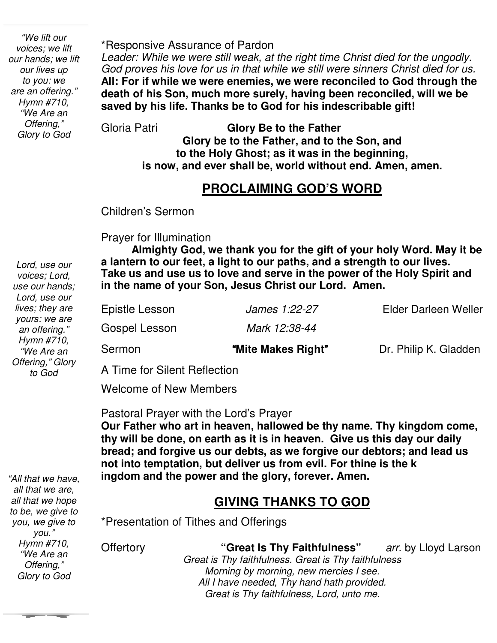*"We lift our voices; we lift our hands; we lift our lives up to you: we are an offering." Hymn #710, "We Are an Offering," Glory to God* 

\*Responsive Assurance of Pardon

*Leader: While we were still weak, at the right time Christ died for the ungodly. God proves his love for us in that while we still were sinners Christ died for us.* **All: For if while we were enemies, we were reconciled to God through the death of his Son, much more surely, having been reconciled, will we be saved by his life. Thanks be to God for his indescribable gift!**

Gloria Patri **Glory Be to the Father Glory be to the Father, and to the Son, and to the Holy Ghost; as it was in the beginning, is now, and ever shall be, world without end. Amen, amen.** 

### **PROCLAIMING GOD'S WORD**

Children's Sermon

Prayer for Illumination

 $\overline{a}$  **a lantern to our feet, a light to our paths, and a strength to our lives. Take us and use us to love and serve in the power of the Holy Spirit and Almighty God, we thank you for the gift of your holy Word. May it be in the name of your Son, Jesus Christ our Lord. Amen.**

Epistle Lesson *James 1:22-27* Elder Darleen Weller

Gospel Lesson *Mark 12:38-44*

Sermon "**Mite Makes Right**" Dr. Philip K. Gladden

A Time for Silent Reflection

Welcome of New Members

Pastoral Prayer with the Lord's Prayer

**Our Father who art in heaven, hallowed be thy name. Thy kingdom come, thy will be done, on earth as it is in heaven. Give us this day our daily bread; and forgive us our debts, as we forgive our debtors; and lead us not into temptation, but deliver us from evil. For thine is the k ingdom and the power and the glory, forever. Amen.** 

## **GIVING THANKS TO GOD**

\*Presentation of Tithes and Offerings

Offertory **"Great Is Thy Faithfulness"** *arr.* by Lloyd Larson *Great is Thy faithfulness. Great is Thy faithfulness Morning by morning, new mercies I see.* 

*All I have needed, Thy hand hath provided. Great is Thy faithfulness, Lord, unto me.* 

 *lives; they are Lord, use our voices; Lord, use our hands; Lord, use our yours: we are an offering." Hymn #710, "We Are an Offering," Glory to God*

*"All that we have, all that we are, all that we hope to be, we give to you, we give to you." Hymn #710, "We Are an Offering," Glory to God*

**College** 

**College**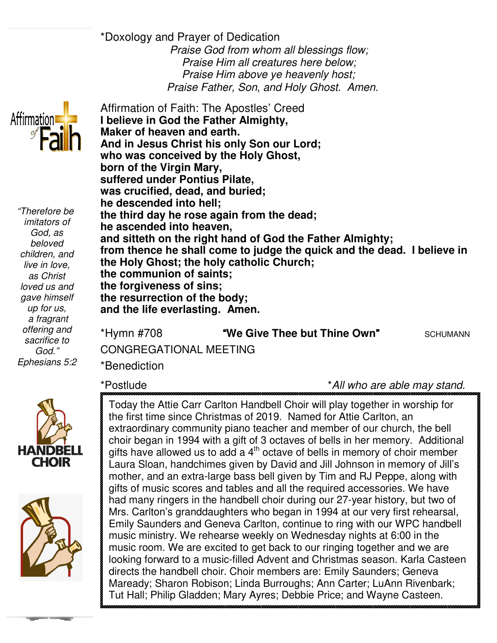### \*Doxology and Prayer of Dedication

 *Praise God from whom all blessings flow; Praise Him all creatures here below; Praise Him all creatures here below;<br>Praise Him above ye heavenly host; Praise Father, Son, and Holy Ghost. Amen.*



*"Therefore be imitators of God, as beloved children, and live in love, as Christ loved us and gave himself up for us, a fragrant offering and sacrifice to God." Ephesians 5:2* 

Affirmation of Faith: The Apostles' Creed **I believe in God the Father Almighty, Maker of heaven and earth. And in Jesus Christ his only Son our Lord; who was conceived by the Holy Ghost, born of the Virgin Mary, suffered under Pontius Pilate, was crucified, dead, and buried; he descended into hell; the third day he rose again from the dead; he ascended into heaven, and sitteth on the right hand of God the Father Almighty;**  from thence he shall come to judge the quick and the dead. I believe **the Holy Ghost; the holy catholic Church; the communion of saints; the forgiveness of sins; the resurrection of the body;**  the resurrection of the body;<br>and the life everlasting. Amen. ker of heaven and earth.<br>d in Jesus Christ his only Son our Lord;<br>o was conceived by the Holy Ghost,<br>rn of the Virgin Mary,<br>fered under Pontius Pilate,<br>s crucified, dead, and buried;<br>descended into hell;<br>third day he rose

| *Hymn #708             | "We Give Thee but Thine Own" | <b>SCHUMANN</b>              |  |  |
|------------------------|------------------------------|------------------------------|--|--|
| CONGREGATIONAL MEETING |                              |                              |  |  |
| *Benediction           |                              |                              |  |  |
| *Postlude              |                              | *All who are able may stand. |  |  |

CHOIR



Today the Attie Carr Carlton Handbell Choir will play together in worship for<br>the first time since Christmas of 2019. Named for Attie Carlton, an the first time since Christmas of 2019. Named for Attie extraordinary community piano teacher and member of our church, the bell choir began in 1994 with a gift of 3 octaves of bells in her memory. Additional gifts have allowed us to add a  $4<sup>th</sup>$  octave of bells in memory of choir member Laura Sloan, handchimes given by David and Jill Johnson in memory of Jill mother, and an extra-large bass bell given by Tim and RJ Peppe, along with gifts of music scores and tables and all the required accessories. We have had many ringers in the handbell choir during our 27-year history, but two of Mrs. Carlton's granddaughters who began in 1994 at our very first rehearsal, Emily Saunders and Geneva Carlton, continue to ring with our WPC handbell music ministry. We rehearse weekly on Wednesday nights at 6:00 in the music room. We are excited to get back to our ringing together and we are Mrs. Carlton's granddaughters who began in 1994 at our very first rehearsal,<br>Emily Saunders and Geneva Carlton, continue to ring with our WPC handbell<br>music ministry. We rehearse weekly on Wednesday nights at 6:00 in the<br>m directs the handbell choir. Choir members are: Emily Saunders; Geneva directs the handbell choir. Choir members are: Emily Saunders; Geneva<br>Maready; Sharon Robison; Linda Burroughs; Ann Carter; LuAnn Rivenbark; Tut Hall; Philip Gladden; Mary Ayres; Debbie Price; and Wayne Casteen. mes given by David and Jill Johnson in memory of Jill's<br>large bass bell given by Tim and RJ Peppe, along with<br>and tables and all the required accessories. We have<br>ne handbell choir during our 27-year history, but two of cher and member of our church, the bell<br>octaves of bells in her memory. Additiona<br>ctave of bells in memory of choir member<br>David and Jill Johnson in memory of Jill's bell given by Tim and RJ Peppe, alc<br>and all the required accessories. We<br>choir during our 27-year history, bu<br>ho began in 1994 at our very first re<br>dition, continue to ring with our WPC<br>ekly on Wednesday nights at 6:00 in<br>